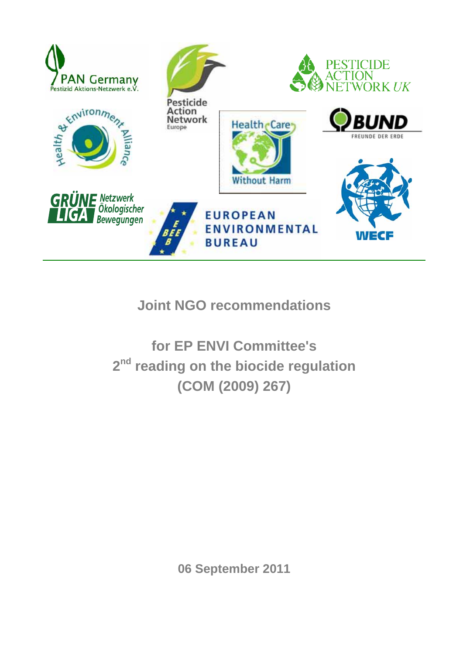

# **Joint NGO recommendations**

**for EP ENVI Committee's 2nd reading on the biocide regulation (COM (2009) 267)** 

**06 September 2011**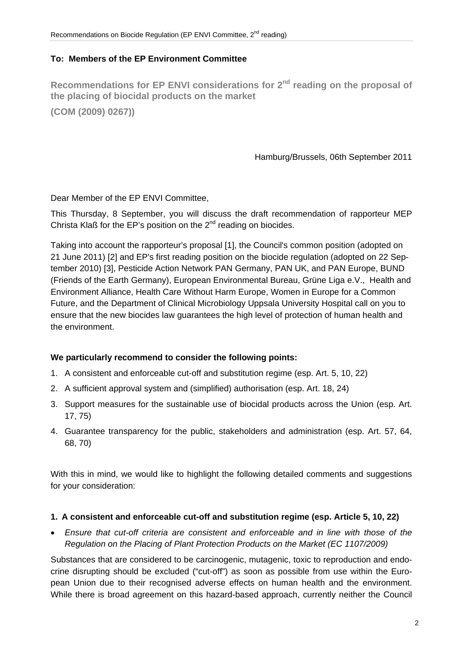#### **To: Members of the EP Environment Committee**

Recommendations for EP ENVI considerations for 2<sup>nd</sup> reading on the proposal of **the placing of biocidal products on the market (COM (2009) 0267))**

Hamburg/Brussels, 06th September 2011

Dear Member of the EP ENVI Committee,

This Thursday, 8 September, you will discuss the draft recommendation of rapporteur MEP Christa Klaß for the EP's position on the  $2<sup>nd</sup>$  reading on biocides.

Taking into account the rapporteur's proposal [1], the Council's common position (adopted on 21 June 2011) [2] and EP's first reading position on the biocide regulation (adopted on 22 September 2010) [3], Pesticide Action Network PAN Germany, PAN UK, and PAN Europe, BUND (Friends of the Earth Germany), European Environmental Bureau, Grüne Liga e.V., Health and Environment Alliance, Health Care Without Harm Europe, Women in Europe for a Common Future, and the Department of Clinical Microbiology Uppsala University Hospital call on you to ensure that the new biocides law guarantees the high level of protection of human health and the environment.

#### **We particularly recommend to consider the following points:**

- 1. A consistent and enforceable cut-off and substitution regime (esp. Art. 5, 10, 22)
- 2. A sufficient approval system and (simplified) authorisation (esp. Art. 18, 24)
- 3. Support measures for the sustainable use of biocidal products across the Union (esp. Art. 17, 75)
- 4. Guarantee transparency for the public, stakeholders and administration (esp. Art. 57, 64, 68, 70)

With this in mind, we would like to highlight the following detailed comments and suggestions for your consideration:

- **1. A consistent and enforceable cut-off and substitution regime (esp. Article 5, 10, 22)**
- *Ensure that cut-off criteria are consistent and enforceable and in line with those of the Regulation on the Placing of Plant Protection Products on the Market (EC 1107/2009)*

Substances that are considered to be carcinogenic, mutagenic, toxic to reproduction and endocrine disrupting should be excluded ("cut-off") as soon as possible from use within the European Union due to their recognised adverse effects on human health and the environment. While there is broad agreement on this hazard-based approach, currently neither the Council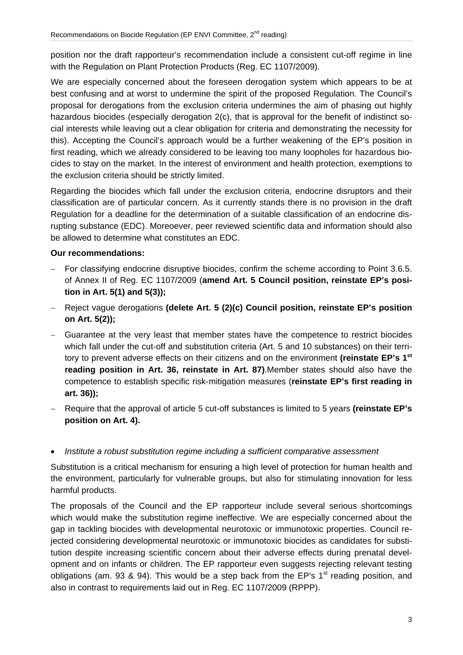position nor the draft rapporteur's recommendation include a consistent cut-off regime in line with the Regulation on Plant Protection Products (Reg. EC 1107/2009).

We are especially concerned about the foreseen derogation system which appears to be at best confusing and at worst to undermine the spirit of the proposed Regulation. The Council's proposal for derogations from the exclusion criteria undermines the aim of phasing out highly hazardous biocides (especially derogation 2(c), that is approval for the benefit of indistinct social interests while leaving out a clear obligation for criteria and demonstrating the necessity for this). Accepting the Council's approach would be a further weakening of the EP's position in first reading, which we already considered to be leaving too many loopholes for hazardous biocides to stay on the market. In the interest of environment and health protection, exemptions to the exclusion criteria should be strictly limited.

Regarding the biocides which fall under the exclusion criteria, endocrine disruptors and their classification are of particular concern. As it currently stands there is no provision in the draft Regulation for a deadline for the determination of a suitable classification of an endocrine disrupting substance (EDC). Moreoever, peer reviewed scientific data and information should also be allowed to determine what constitutes an EDC.

#### **Our recommendations:**

- − For classifying endocrine disruptive biocides, confirm the scheme according to Point 3.6.5. of Annex II of Reg. EC 1107/2009 (**amend Art. 5 Council position, reinstate EP's position in Art. 5(1) and 5(3));**
- − Reject vague derogations **(delete Art. 5 (2)(c) Council position, reinstate EP's position on Art. 5(2));**
- − Guarantee at the very least that member states have the competence to restrict biocides which fall under the cut-off and substitution criteria (Art. 5 and 10 substances) on their territory to prevent adverse effects on their citizens and on the environment **(reinstate EP's 1st reading position in Art. 36, reinstate in Art. 87)**.Member states should also have the competence to establish specific risk-mitigation measures (**reinstate EP's first reading in art. 36));**
- − Require that the approval of article 5 cut-off substances is limited to 5 years **(reinstate EP's position on Art. 4).**
- *Institute a robust substitution regime including a sufficient comparative assessment*

Substitution is a critical mechanism for ensuring a high level of protection for human health and the environment, particularly for vulnerable groups, but also for stimulating innovation for less harmful products.

The proposals of the Council and the EP rapporteur include several serious shortcomings which would make the substitution regime ineffective. We are especially concerned about the gap in tackling biocides with developmental neurotoxic or immunotoxic properties. Council rejected considering developmental neurotoxic or immunotoxic biocides as candidates for substitution despite increasing scientific concern about their adverse effects during prenatal development and on infants or children. The EP rapporteur even suggests rejecting relevant testing obligations (am. 93 & 94). This would be a step back from the EP's  $1<sup>st</sup>$  reading position, and also in contrast to requirements laid out in Reg. EC 1107/2009 (RPPP).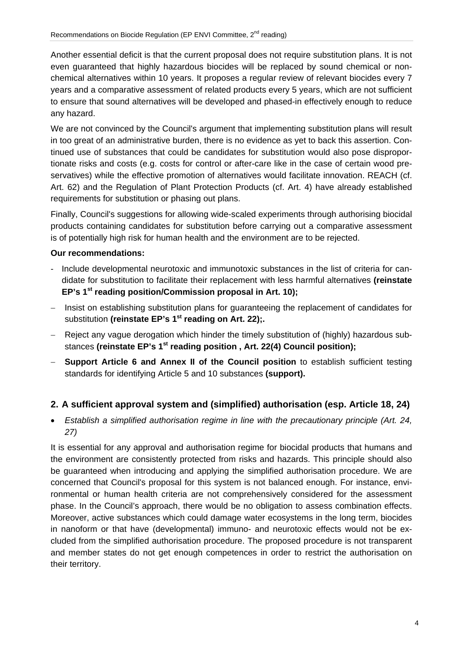Another essential deficit is that the current proposal does not require substitution plans. It is not even guaranteed that highly hazardous biocides will be replaced by sound chemical or nonchemical alternatives within 10 years. It proposes a regular review of relevant biocides every 7 years and a comparative assessment of related products every 5 years, which are not sufficient to ensure that sound alternatives will be developed and phased-in effectively enough to reduce any hazard.

We are not convinced by the Council's argument that implementing substitution plans will result in too great of an administrative burden, there is no evidence as yet to back this assertion. Continued use of substances that could be candidates for substitution would also pose disproportionate risks and costs (e.g. costs for control or after-care like in the case of certain wood preservatives) while the effective promotion of alternatives would facilitate innovation. REACH (cf. Art. 62) and the Regulation of Plant Protection Products (cf. Art. 4) have already established requirements for substitution or phasing out plans.

Finally, Council's suggestions for allowing wide-scaled experiments through authorising biocidal products containing candidates for substitution before carrying out a comparative assessment is of potentially high risk for human health and the environment are to be rejected.

## **Our recommendations:**

- Include developmental neurotoxic and immunotoxic substances in the list of criteria for candidate for substitution to facilitate their replacement with less harmful alternatives **(reinstate EP's 1st reading position/Commission proposal in Art. 10);**
- − Insist on establishing substitution plans for guaranteeing the replacement of candidates for substitution (reinstate EP's 1<sup>st</sup> reading on Art. 22);.
- − Reject any vague derogation which hinder the timely substitution of (highly) hazardous substances (reinstate EP's 1<sup>st</sup> reading position, Art. 22(4) Council position);
- − **Support Article 6 and Annex II of the Council position** to establish sufficient testing standards for identifying Article 5 and 10 substances **(support).**

# **2. A sufficient approval system and (simplified) authorisation (esp. Article 18, 24)**

• *Establish a simplified authorisation regime in line with the precautionary principle (Art. 24, 27)* 

It is essential for any approval and authorisation regime for biocidal products that humans and the environment are consistently protected from risks and hazards. This principle should also be guaranteed when introducing and applying the simplified authorisation procedure. We are concerned that Council's proposal for this system is not balanced enough. For instance, environmental or human health criteria are not comprehensively considered for the assessment phase. In the Council's approach, there would be no obligation to assess combination effects. Moreover, active substances which could damage water ecosystems in the long term, biocides in nanoform or that have (developmental) immuno- and neurotoxic effects would not be excluded from the simplified authorisation procedure. The proposed procedure is not transparent and member states do not get enough competences in order to restrict the authorisation on their territory.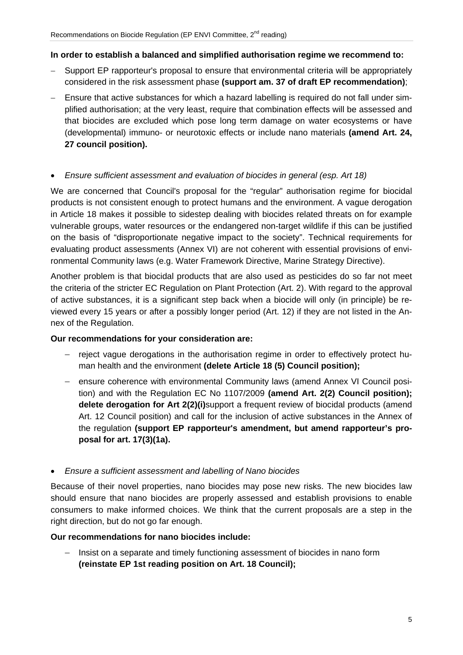#### **In order to establish a balanced and simplified authorisation regime we recommend to:**

- Support EP rapporteur's proposal to ensure that environmental criteria will be appropriately considered in the risk assessment phase **(support am. 37 of draft EP recommendation)**;
- − Ensure that active substances for which a hazard labelling is required do not fall under simplified authorisation; at the very least, require that combination effects will be assessed and that biocides are excluded which pose long term damage on water ecosystems or have (developmental) immuno- or neurotoxic effects or include nano materials **(amend Art. 24, 27 council position).**

#### • *Ensure sufficient assessment and evaluation of biocides in general (esp. Art 18)*

We are concerned that Council's proposal for the "regular" authorisation regime for biocidal products is not consistent enough to protect humans and the environment. A vague derogation in Article 18 makes it possible to sidestep dealing with biocides related threats on for example vulnerable groups, water resources or the endangered non-target wildlife if this can be justified on the basis of "disproportionate negative impact to the society". Technical requirements for evaluating product assessments (Annex VI) are not coherent with essential provisions of environmental Community laws (e.g. Water Framework Directive, Marine Strategy Directive).

Another problem is that biocidal products that are also used as pesticides do so far not meet the criteria of the stricter EC Regulation on Plant Protection (Art. 2). With regard to the approval of active substances, it is a significant step back when a biocide will only (in principle) be reviewed every 15 years or after a possibly longer period (Art. 12) if they are not listed in the Annex of the Regulation.

#### **Our recommendations for your consideration are:**

- − reject vague derogations in the authorisation regime in order to effectively protect human health and the environment **(delete Article 18 (5) Council position);**
- − ensure coherence with environmental Community laws (amend Annex VI Council position) and with the Regulation EC No 1107/2009 **(amend Art. 2(2) Council position); delete derogation for Art 2(2)(i)**support a frequent review of biocidal products (amend Art. 12 Council position) and call for the inclusion of active substances in the Annex of the regulation **(support EP rapporteur's amendment, but amend rapporteur's proposal for art. 17(3)(1a).**

• *Ensure a sufficient assessment and labelling of Nano biocides* 

Because of their novel properties, nano biocides may pose new risks. The new biocides law should ensure that nano biocides are properly assessed and establish provisions to enable consumers to make informed choices. We think that the current proposals are a step in the right direction, but do not go far enough.

#### **Our recommendations for nano biocides include:**

− Insist on a separate and timely functioning assessment of biocides in nano form **(reinstate EP 1st reading position on Art. 18 Council);**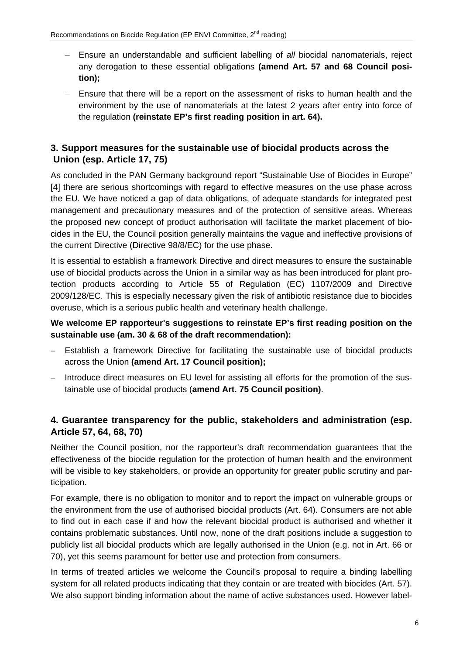- − Ensure an understandable and sufficient labelling of *all* biocidal nanomaterials, reject any derogation to these essential obligations **(amend Art. 57 and 68 Council position);**
- − Ensure that there will be a report on the assessment of risks to human health and the environment by the use of nanomaterials at the latest 2 years after entry into force of the regulation **(reinstate EP's first reading position in art. 64).**

# **3. Support measures for the sustainable use of biocidal products across the Union (esp. Article 17, 75)**

As concluded in the PAN Germany background report "Sustainable Use of Biocides in Europe" [4] there are serious shortcomings with regard to effective measures on the use phase across the EU. We have noticed a gap of data obligations, of adequate standards for integrated pest management and precautionary measures and of the protection of sensitive areas. Whereas the proposed new concept of product authorisation will facilitate the market placement of biocides in the EU, the Council position generally maintains the vague and ineffective provisions of the current Directive (Directive 98/8/EC) for the use phase.

It is essential to establish a framework Directive and direct measures to ensure the sustainable use of biocidal products across the Union in a similar way as has been introduced for plant protection products according to Article 55 of Regulation (EC) 1107/2009 and Directive 2009/128/EC. This is especially necessary given the risk of antibiotic resistance due to biocides overuse, which is a serious public health and veterinary health challenge.

## **We welcome EP rapporteur's suggestions to reinstate EP's first reading position on the sustainable use (am. 30 & 68 of the draft recommendation):**

- − Establish a framework Directive for facilitating the sustainable use of biocidal products across the Union **(amend Art. 17 Council position);**
- − Introduce direct measures on EU level for assisting all efforts for the promotion of the sustainable use of biocidal products (**amend Art. 75 Council position)**.

# **4. Guarantee transparency for the public, stakeholders and administration (esp. Article 57, 64, 68, 70)**

Neither the Council position, nor the rapporteur's draft recommendation guarantees that the effectiveness of the biocide regulation for the protection of human health and the environment will be visible to key stakeholders, or provide an opportunity for greater public scrutiny and participation.

For example, there is no obligation to monitor and to report the impact on vulnerable groups or the environment from the use of authorised biocidal products (Art. 64). Consumers are not able to find out in each case if and how the relevant biocidal product is authorised and whether it contains problematic substances. Until now, none of the draft positions include a suggestion to publicly list all biocidal products which are legally authorised in the Union (e.g. not in Art. 66 or 70), yet this seems paramount for better use and protection from consumers.

In terms of treated articles we welcome the Council's proposal to require a binding labelling system for all related products indicating that they contain or are treated with biocides (Art. 57). We also support binding information about the name of active substances used. However label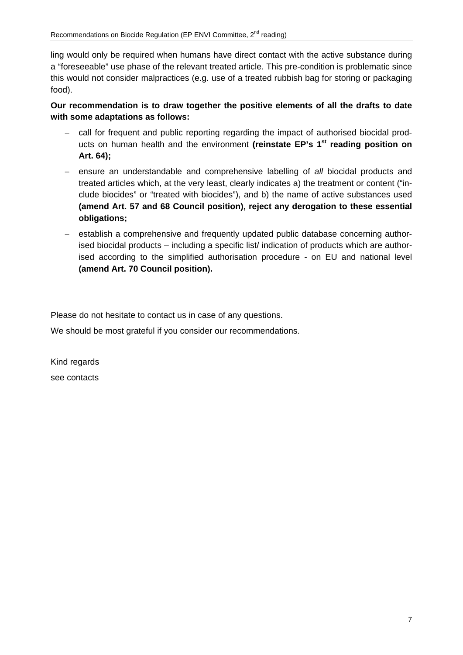ling would only be required when humans have direct contact with the active substance during a "foreseeable" use phase of the relevant treated article. This pre-condition is problematic since this would not consider malpractices (e.g. use of a treated rubbish bag for storing or packaging food).

**Our recommendation is to draw together the positive elements of all the drafts to date with some adaptations as follows:** 

- − call for frequent and public reporting regarding the impact of authorised biocidal products on human health and the environment **(reinstate EP's 1st reading position on Art. 64);**
- − ensure an understandable and comprehensive labelling of *all* biocidal products and treated articles which, at the very least, clearly indicates a) the treatment or content ("include biocides" or "treated with biocides"), and b) the name of active substances used **(amend Art. 57 and 68 Council position), reject any derogation to these essential obligations;**
- − establish a comprehensive and frequently updated public database concerning authorised biocidal products – including a specific list/ indication of products which are authorised according to the simplified authorisation procedure - on EU and national level **(amend Art. 70 Council position).**

Please do not hesitate to contact us in case of any questions.

We should be most grateful if you consider our recommendations.

Kind regards see contacts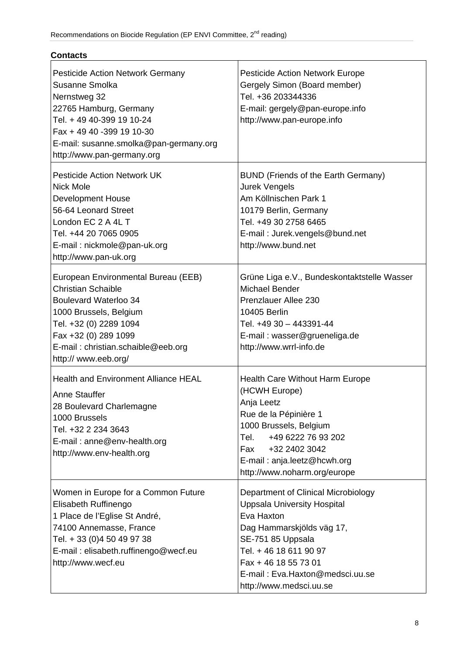| <b>Contacts</b>                                                                                                                                                                                                                       |                                                                                                                                                                                                                                                           |
|---------------------------------------------------------------------------------------------------------------------------------------------------------------------------------------------------------------------------------------|-----------------------------------------------------------------------------------------------------------------------------------------------------------------------------------------------------------------------------------------------------------|
| <b>Pesticide Action Network Germany</b><br>Susanne Smolka<br>Nernstweg 32<br>22765 Hamburg, Germany<br>Tel. + 49 40-399 19 10-24<br>Fax + 49 40 -399 19 10-30<br>E-mail: susanne.smolka@pan-germany.org<br>http://www.pan-germany.org | <b>Pesticide Action Network Europe</b><br>Gergely Simon (Board member)<br>Tel. +36 203344336<br>E-mail: gergely@pan-europe.info<br>http://www.pan-europe.info                                                                                             |
| <b>Pesticide Action Network UK</b><br><b>Nick Mole</b><br><b>Development House</b><br>56-64 Leonard Street<br>London EC 2 A 4L T<br>Tel. +44 20 7065 0905<br>E-mail: nickmole@pan-uk.org<br>http://www.pan-uk.org                     | <b>BUND (Friends of the Earth Germany)</b><br><b>Jurek Vengels</b><br>Am Köllnischen Park 1<br>10179 Berlin, Germany<br>Tel. +49 30 2758 6465<br>E-mail: Jurek.vengels@bund.net<br>http://www.bund.net                                                    |
| European Environmental Bureau (EEB)<br><b>Christian Schaible</b><br>Boulevard Waterloo 34<br>1000 Brussels, Belgium<br>Tel. +32 (0) 2289 1094<br>Fax +32 (0) 289 1099<br>E-mail: christian.schaible@eeb.org<br>http:// www.eeb.org/   | Grüne Liga e.V., Bundeskontaktstelle Wasser<br><b>Michael Bender</b><br>Prenzlauer Allee 230<br>10405 Berlin<br>Tel. +49 30 - 443391-44<br>E-mail: wasser@grueneliga.de<br>http://www.wrrl-info.de                                                        |
| <b>Health and Environment Alliance HEAL</b><br><b>Anne Stauffer</b><br>28 Boulevard Charlemagne<br>1000 Brussels<br>Tel. +32 2 234 3643<br>E-mail: anne@env-health.org<br>http://www.env-health.org                                   | <b>Health Care Without Harm Europe</b><br>(HCWH Europe)<br>Anja Leetz<br>Rue de la Pépinière 1<br>1000 Brussels, Belgium<br>+49 6222 76 93 202<br>Tel.<br>+32 2402 3042<br>Fax<br>E-mail: anja.leetz@hcwh.org<br>http://www.noharm.org/europe             |
| Women in Europe for a Common Future<br>Elisabeth Ruffinengo<br>1 Place de l'Eglise St André,<br>74100 Annemasse, France<br>Tel. + 33 (0)4 50 49 97 38<br>E-mail: elisabeth.ruffinengo@wecf.eu<br>http://www.wecf.eu                   | Department of Clinical Microbiology<br><b>Uppsala University Hospital</b><br>Eva Haxton<br>Dag Hammarskjölds väg 17,<br>SE-751 85 Uppsala<br>Tel. + 46 18 611 90 97<br>Fax + 46 18 55 73 01<br>E-mail: Eva.Haxton@medsci.uu.se<br>http://www.medsci.uu.se |